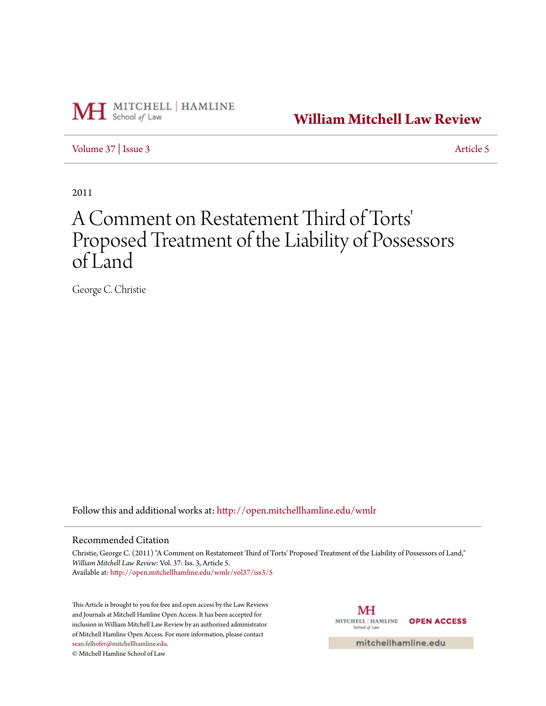

**[William Mitchell Law Review](http://open.mitchellhamline.edu/wmlr?utm_source=open.mitchellhamline.edu%2Fwmlr%2Fvol37%2Fiss3%2F5&utm_medium=PDF&utm_campaign=PDFCoverPages)**

[Volume 37](http://open.mitchellhamline.edu/wmlr/vol37?utm_source=open.mitchellhamline.edu%2Fwmlr%2Fvol37%2Fiss3%2F5&utm_medium=PDF&utm_campaign=PDFCoverPages) | [Issue 3](http://open.mitchellhamline.edu/wmlr/vol37/iss3?utm_source=open.mitchellhamline.edu%2Fwmlr%2Fvol37%2Fiss3%2F5&utm_medium=PDF&utm_campaign=PDFCoverPages) [Article 5](http://open.mitchellhamline.edu/wmlr/vol37/iss3/5?utm_source=open.mitchellhamline.edu%2Fwmlr%2Fvol37%2Fiss3%2F5&utm_medium=PDF&utm_campaign=PDFCoverPages)

2011

# A Comment on Restatement Third of Torts 'Proposed Treatment of the Liability of Possessors of Land

George C. Christie

Follow this and additional works at: [http://open.mitchellhamline.edu/wmlr](http://open.mitchellhamline.edu/wmlr?utm_source=open.mitchellhamline.edu%2Fwmlr%2Fvol37%2Fiss3%2F5&utm_medium=PDF&utm_campaign=PDFCoverPages)

## Recommended Citation

Christie, George C. (2011) "A Comment on Restatement Third of Torts' Proposed Treatment of the Liability of Possessors of Land," *William Mitchell Law Review*: Vol. 37: Iss. 3, Article 5. Available at: [http://open.mitchellhamline.edu/wmlr/vol37/iss3/5](http://open.mitchellhamline.edu/wmlr/vol37/iss3/5?utm_source=open.mitchellhamline.edu%2Fwmlr%2Fvol37%2Fiss3%2F5&utm_medium=PDF&utm_campaign=PDFCoverPages)

This Article is brought to you for free and open access by the Law Reviews and Journals at Mitchell Hamline Open Access. It has been accepted for inclusion in William Mitchell Law Review by an authorized administrator of Mitchell Hamline Open Access. For more information, please contact [sean.felhofer@mitchellhamline.edu](mailto:sean.felhofer@mitchellhamline.edu).

© Mitchell Hamline School of Law

MH MITCHELL | HAMLINE **OPEN ACCESS** School of Law

mitchellhamline.edu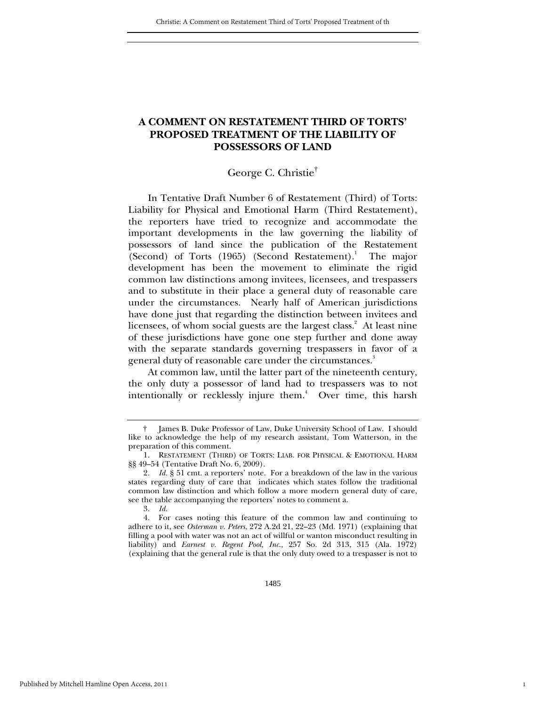# **A COMMENT ON RESTATEMENT THIRD OF TORTS' PROPOSED TREATMENT OF THE LIABILITY OF POSSESSORS OF LAND**

# George C. Christie†

In Tentative Draft Number 6 of Restatement (Third) of Torts: Liability for Physical and Emotional Harm (Third Restatement), the reporters have tried to recognize and accommodate the important developments in the law governing the liability of possessors of land since the publication of the Restatement (Second) of Torts (1965) (Second Restatement).<sup>1</sup> The major development has been the movement to eliminate the rigid common law distinctions among invitees, licensees, and trespassers and to substitute in their place a general duty of reasonable care under the circumstances. Nearly half of American jurisdictions have done just that regarding the distinction between invitees and licensees, of whom social guests are the largest class.<sup>2</sup> At least nine of these jurisdictions have gone one step further and done away with the separate standards governing trespassers in favor of a general duty of reasonable care under the circumstances.<sup>3</sup>

At common law, until the latter part of the nineteenth century, the only duty a possessor of land had to trespassers was to not intentionally or recklessly injure them.<sup>4</sup> Over time, this harsh

 4. For cases noting this feature of the common law and continuing to adhere to it, see *Osterman v. Peters*, 272 A.2d 21, 22–23 (Md. 1971) (explaining that filling a pool with water was not an act of willful or wanton misconduct resulting in liability) and *Earnest v. Regent Pool, Inc*., 257 So. 2d 313, 315 (Ala. 1972) (explaining that the general rule is that the only duty owed to a trespasser is not to

1

† James B. Duke Professor of Law, Duke University School of Law. I should like to acknowledge the help of my research assistant, Tom Watterson, in the preparation of this comment.

 <sup>1.</sup> RESTATEMENT (THIRD) OF TORTS: LIAB. FOR PHYSICAL & EMOTIONAL HARM §§ 49–54 (Tentative Draft No. 6, 2009).

<sup>2</sup>*. Id.* § 51 cmt. a reporters' note. For a breakdown of the law in the various states regarding duty of care that indicates which states follow the traditional common law distinction and which follow a more modern general duty of care, see the table accompanying the reporters' notes to comment a.

<sup>3</sup>*. Id.*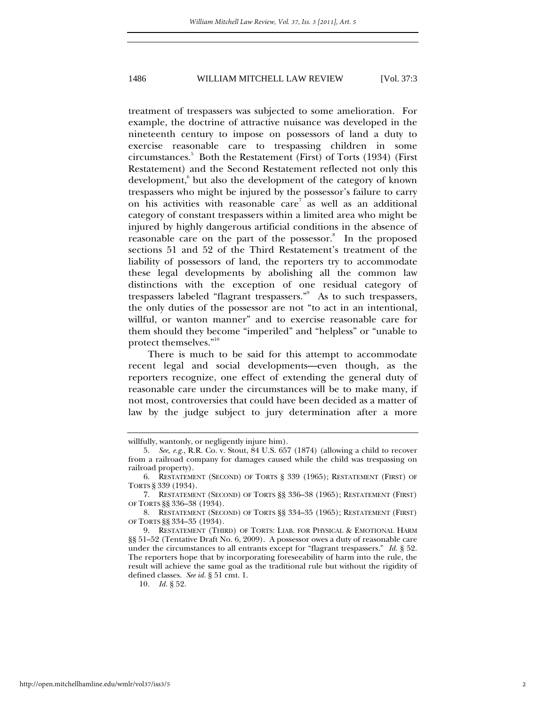# 1486 WILLIAM MITCHELL LAW REVIEW [Vol. 37:3

treatment of trespassers was subjected to some amelioration. For example, the doctrine of attractive nuisance was developed in the nineteenth century to impose on possessors of land a duty to exercise reasonable care to trespassing children in some circumstances.5 Both the Restatement (First) of Torts (1934) (First Restatement) and the Second Restatement reflected not only this development,<sup>6</sup> but also the development of the category of known trespassers who might be injured by the possessor's failure to carry on his activities with reasonable care<sup>7</sup> as well as an additional category of constant trespassers within a limited area who might be injured by highly dangerous artificial conditions in the absence of reasonable care on the part of the possessor.<sup>8</sup> In the proposed sections 51 and 52 of the Third Restatement's treatment of the liability of possessors of land, the reporters try to accommodate these legal developments by abolishing all the common law distinctions with the exception of one residual category of trespassers labeled "flagrant trespassers." As to such trespassers, the only duties of the possessor are not "to act in an intentional, willful, or wanton manner" and to exercise reasonable care for them should they become "imperiled" and "helpless" or "unable to protect themselves."<sup>10</sup>

There is much to be said for this attempt to accommodate recent legal and social developments—even though, as the reporters recognize, one effect of extending the general duty of reasonable care under the circumstances will be to make many, if not most, controversies that could have been decided as a matter of law by the judge subject to jury determination after a more

10*. Id.* § 52.

willfully, wantonly, or negligently injure him).

 <sup>5.</sup> *See, e.g.*, R.R. Co. v. Stout, 84 U.S. 657 (1874) (allowing a child to recover from a railroad company for damages caused while the child was trespassing on railroad property).

 <sup>6.</sup> RESTATEMENT (SECOND) OF TORTS § 339 (1965); RESTATEMENT (FIRST) OF TORTS § 339 (1934).

 <sup>7.</sup> RESTATEMENT (SECOND) OF TORTS §§ 336–38 (1965); RESTATEMENT (FIRST) OF TORTS §§ 336–38 (1934).

 <sup>8.</sup> RESTATEMENT (SECOND) OF TORTS §§ 334–35 (1965); RESTATEMENT (FIRST) OF TORTS §§ 334–35 (1934).

 <sup>9.</sup> RESTATEMENT (THIRD) OF TORTS: LIAB. FOR PHYSICAL & EMOTIONAL HARM §§ 51–52 (Tentative Draft No. 6, 2009). A possessor owes a duty of reasonable care under the circumstances to all entrants except for "flagrant trespassers." *Id.* § 52. The reporters hope that by incorporating foreseeability of harm into the rule, the result will achieve the same goal as the traditional rule but without the rigidity of defined classes. *See id.* § 51 cmt. 1.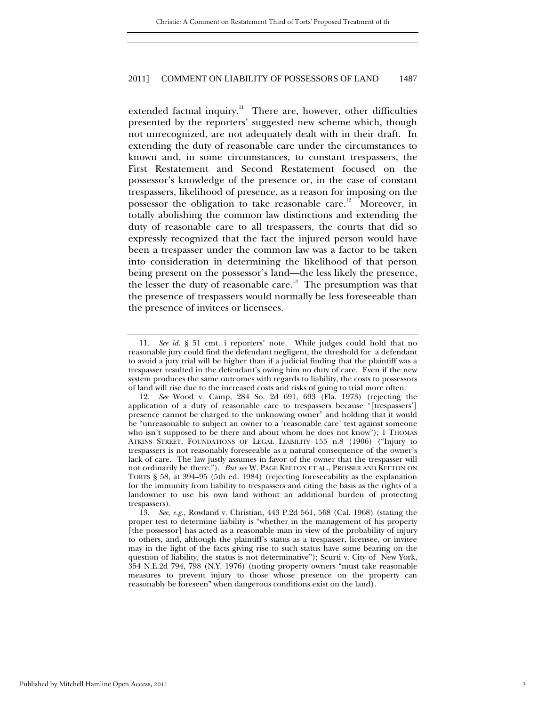#### 2011] COMMENT ON LIABILITY OF POSSESSORS OF LAND 1487

extended factual inquiry.<sup>11</sup> There are, however, other difficulties presented by the reporters' suggested new scheme which, though not unrecognized, are not adequately dealt with in their draft. In extending the duty of reasonable care under the circumstances to known and, in some circumstances, to constant trespassers, the First Restatement and Second Restatement focused on the possessor's knowledge of the presence or, in the case of constant trespassers, likelihood of presence, as a reason for imposing on the possessor the obligation to take reasonable care.<sup>12</sup> Moreover, in totally abolishing the common law distinctions and extending the duty of reasonable care to all trespassers, the courts that did so expressly recognized that the fact the injured person would have been a trespasser under the common law was a factor to be taken into consideration in determining the likelihood of that person being present on the possessor's land—the less likely the presence, the lesser the duty of reasonable care.<sup>13</sup> The presumption was that the presence of trespassers would normally be less foreseeable than the presence of invitees or licensees.

<sup>11</sup>*. See id.* § 51 cmt. i reporters' note. While judges could hold that no reasonable jury could find the defendant negligent, the threshold for a defendant to avoid a jury trial will be higher than if a judicial finding that the plaintiff was a trespasser resulted in the defendant's owing him no duty of care. Even if the new system produces the same outcomes with regards to liability, the costs to possessors of land will rise due to the increased costs and risks of going to trial more often.

<sup>12</sup>*. See* Wood v. Camp, 284 So. 2d 691, 693 (Fla. 1973) (rejecting the application of a duty of reasonable care to trespassers because "[trespassers'] presence cannot be charged to the unknowing owner" and holding that it would be "unreasonable to subject an owner to a 'reasonable care' test against someone who isn't supposed to be there and about whom he does not know"); 1 THOMAS ATKINS STREET, FOUNDATIONS OF LEGAL LIABILITY 155 n.8 (1906) ("Injury to trespassers is not reasonably foreseeable as a natural consequence of the owner's lack of care. The law justly assumes in favor of the owner that the trespasser will not ordinarily be there."). *But see* W. PAGE KEETON ET AL., PROSSER AND KEETON ON TORTS § 58, at 394–95 (5th ed. 1984) (rejecting foreseeability as the explanation for the immunity from liability to trespassers and citing the basis as the rights of a landowner to use his own land without an additional burden of protecting trespassers).

<sup>13</sup>*. See, e.g.*, Rowland v. Christian, 443 P.2d 561, 568 (Cal. 1968) (stating the proper test to determine liability is "whether in the management of his property [the possessor] has acted as a reasonable man in view of the probability of injury to others, and, although the plaintiff's status as a trespasser, licensee, or invitee may in the light of the facts giving rise to such status have some bearing on the question of liability, the status is not determinative"); Scurti v. City of New York, 354 N.E.2d 794, 798 (N.Y. 1976) (noting property owners "must take reasonable measures to prevent injury to those whose presence on the property can reasonably be foreseen" when dangerous conditions exist on the land).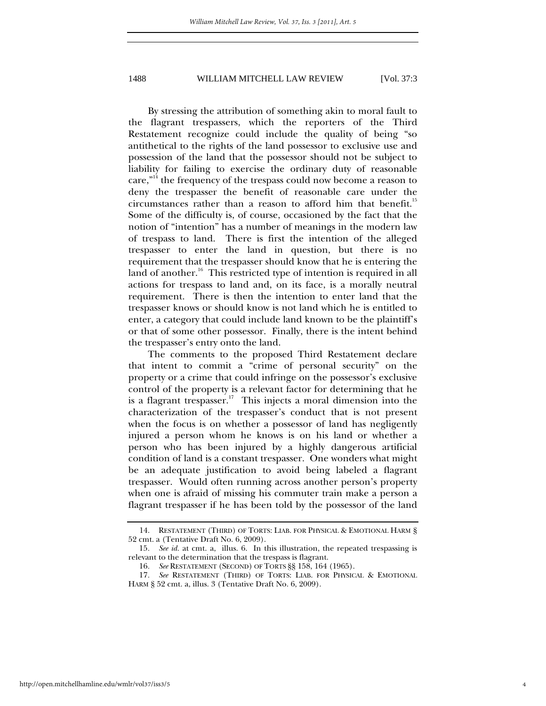# 1488 WILLIAM MITCHELL LAW REVIEW [Vol. 37:3

By stressing the attribution of something akin to moral fault to the flagrant trespassers, which the reporters of the Third Restatement recognize could include the quality of being "so antithetical to the rights of the land possessor to exclusive use and possession of the land that the possessor should not be subject to liability for failing to exercise the ordinary duty of reasonable care,<sup>"14</sup> the frequency of the trespass could now become a reason to deny the trespasser the benefit of reasonable care under the circumstances rather than a reason to afford him that benefit.<sup>15</sup> Some of the difficulty is, of course, occasioned by the fact that the notion of "intention" has a number of meanings in the modern law of trespass to land. There is first the intention of the alleged trespasser to enter the land in question, but there is no requirement that the trespasser should know that he is entering the land of another.<sup>16</sup> This restricted type of intention is required in all actions for trespass to land and, on its face, is a morally neutral requirement. There is then the intention to enter land that the trespasser knows or should know is not land which he is entitled to enter, a category that could include land known to be the plaintiff's or that of some other possessor. Finally, there is the intent behind the trespasser's entry onto the land.

The comments to the proposed Third Restatement declare that intent to commit a "crime of personal security" on the property or a crime that could infringe on the possessor's exclusive control of the property is a relevant factor for determining that he is a flagrant trespasser.<sup>17</sup> This injects a moral dimension into the characterization of the trespasser's conduct that is not present when the focus is on whether a possessor of land has negligently injured a person whom he knows is on his land or whether a person who has been injured by a highly dangerous artificial condition of land is a constant trespasser. One wonders what might be an adequate justification to avoid being labeled a flagrant trespasser. Would often running across another person's property when one is afraid of missing his commuter train make a person a flagrant trespasser if he has been told by the possessor of the land

 <sup>14.</sup> RESTATEMENT (THIRD) OF TORTS: LIAB. FOR PHYSICAL & EMOTIONAL HARM § 52 cmt. a (Tentative Draft No. 6, 2009).

<sup>15</sup>*. See id.* at cmt. a, illus. 6. In this illustration, the repeated trespassing is relevant to the determination that the trespass is flagrant.

<sup>16</sup>*. See* RESTATEMENT (SECOND) OF TORTS §§ 158, 164 (1965).

<sup>17</sup>*. See* RESTATEMENT (THIRD) OF TORTS: LIAB. FOR PHYSICAL & EMOTIONAL HARM § 52 cmt. a, illus. 3 (Tentative Draft No. 6, 2009).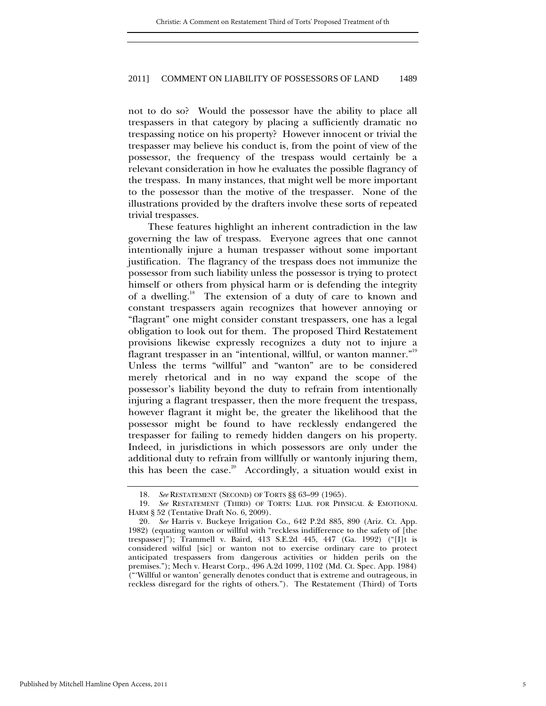#### 2011] COMMENT ON LIABILITY OF POSSESSORS OF LAND 1489

not to do so? Would the possessor have the ability to place all trespassers in that category by placing a sufficiently dramatic no trespassing notice on his property? However innocent or trivial the trespasser may believe his conduct is, from the point of view of the possessor, the frequency of the trespass would certainly be a relevant consideration in how he evaluates the possible flagrancy of the trespass. In many instances, that might well be more important to the possessor than the motive of the trespasser. None of the illustrations provided by the drafters involve these sorts of repeated trivial trespasses.

These features highlight an inherent contradiction in the law governing the law of trespass. Everyone agrees that one cannot intentionally injure a human trespasser without some important justification. The flagrancy of the trespass does not immunize the possessor from such liability unless the possessor is trying to protect himself or others from physical harm or is defending the integrity of a dwelling.<sup>18</sup> The extension of a duty of care to known and constant trespassers again recognizes that however annoying or "flagrant" one might consider constant trespassers, one has a legal obligation to look out for them. The proposed Third Restatement provisions likewise expressly recognizes a duty not to injure a flagrant trespasser in an "intentional, willful, or wanton manner."<sup>19</sup> Unless the terms "willful" and "wanton" are to be considered merely rhetorical and in no way expand the scope of the possessor's liability beyond the duty to refrain from intentionally injuring a flagrant trespasser, then the more frequent the trespass, however flagrant it might be, the greater the likelihood that the possessor might be found to have recklessly endangered the trespasser for failing to remedy hidden dangers on his property. Indeed, in jurisdictions in which possessors are only under the additional duty to refrain from willfully or wantonly injuring them, this has been the case.<sup>20</sup> Accordingly, a situation would exist in

<sup>18</sup>*. See* RESTATEMENT (SECOND) OF TORTS §§ 63–99 (1965).

<sup>19</sup>*. See* RESTATEMENT (THIRD) OF TORTS: LIAB. FOR PHYSICAL & EMOTIONAL HARM § 52 (Tentative Draft No. 6, 2009).

<sup>20</sup>*. See* Harris v. Buckeye Irrigation Co., 642 P.2d 885, 890 (Ariz. Ct. App. 1982) (equating wanton or willful with "reckless indifference to the safety of [the trespasser]"); Trammell v. Baird, 413 S.E.2d 445, 447 (Ga. 1992) ("[I]t is considered wilful [sic] or wanton not to exercise ordinary care to protect anticipated trespassers from dangerous activities or hidden perils on the premises."); Mech v. Hearst Corp., 496 A.2d 1099, 1102 (Md. Ct. Spec. App. 1984) ("'Willful or wanton' generally denotes conduct that is extreme and outrageous, in reckless disregard for the rights of others."). The Restatement (Third) of Torts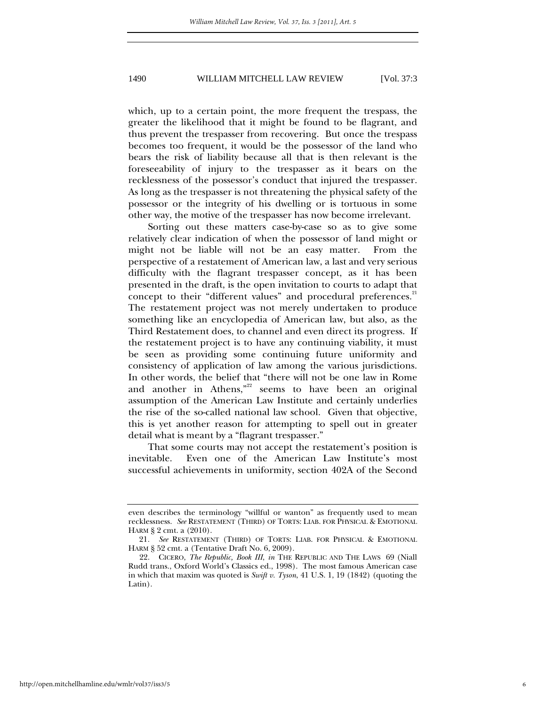# 1490 WILLIAM MITCHELL LAW REVIEW [Vol. 37:3

which, up to a certain point, the more frequent the trespass, the greater the likelihood that it might be found to be flagrant, and thus prevent the trespasser from recovering. But once the trespass becomes too frequent, it would be the possessor of the land who bears the risk of liability because all that is then relevant is the foreseeability of injury to the trespasser as it bears on the recklessness of the possessor's conduct that injured the trespasser. As long as the trespasser is not threatening the physical safety of the possessor or the integrity of his dwelling or is tortuous in some other way, the motive of the trespasser has now become irrelevant.

Sorting out these matters case-by-case so as to give some relatively clear indication of when the possessor of land might or might not be liable will not be an easy matter. From the perspective of a restatement of American law, a last and very serious difficulty with the flagrant trespasser concept, as it has been presented in the draft, is the open invitation to courts to adapt that concept to their "different values" and procedural preferences.<sup>21</sup> The restatement project was not merely undertaken to produce something like an encyclopedia of American law, but also, as the Third Restatement does, to channel and even direct its progress. If the restatement project is to have any continuing viability, it must be seen as providing some continuing future uniformity and consistency of application of law among the various jurisdictions. In other words, the belief that "there will not be one law in Rome and another in Athens,"<sup>22</sup> seems to have been an original assumption of the American Law Institute and certainly underlies the rise of the so-called national law school. Given that objective, this is yet another reason for attempting to spell out in greater detail what is meant by a "flagrant trespasser."

That some courts may not accept the restatement's position is inevitable. Even one of the American Law Institute's most successful achievements in uniformity, section 402A of the Second

even describes the terminology "willful or wanton" as frequently used to mean recklessness. *See* RESTATEMENT (THIRD) OF TORTS: LIAB. FOR PHYSICAL & EMOTIONAL HARM § 2 cmt. a (2010).

<sup>21</sup>*. See* RESTATEMENT (THIRD) OF TORTS: LIAB. FOR PHYSICAL & EMOTIONAL HARM § 52 cmt. a (Tentative Draft No. 6, 2009).

 <sup>22.</sup> CICERO, *The Republic, Book III*, *in* THE REPUBLIC AND THE LAWS 69 (Niall Rudd trans., Oxford World's Classics ed., 1998). The most famous American case in which that maxim was quoted is *Swift v. Tyson*, 41 U.S. 1, 19 (1842) (quoting the Latin).